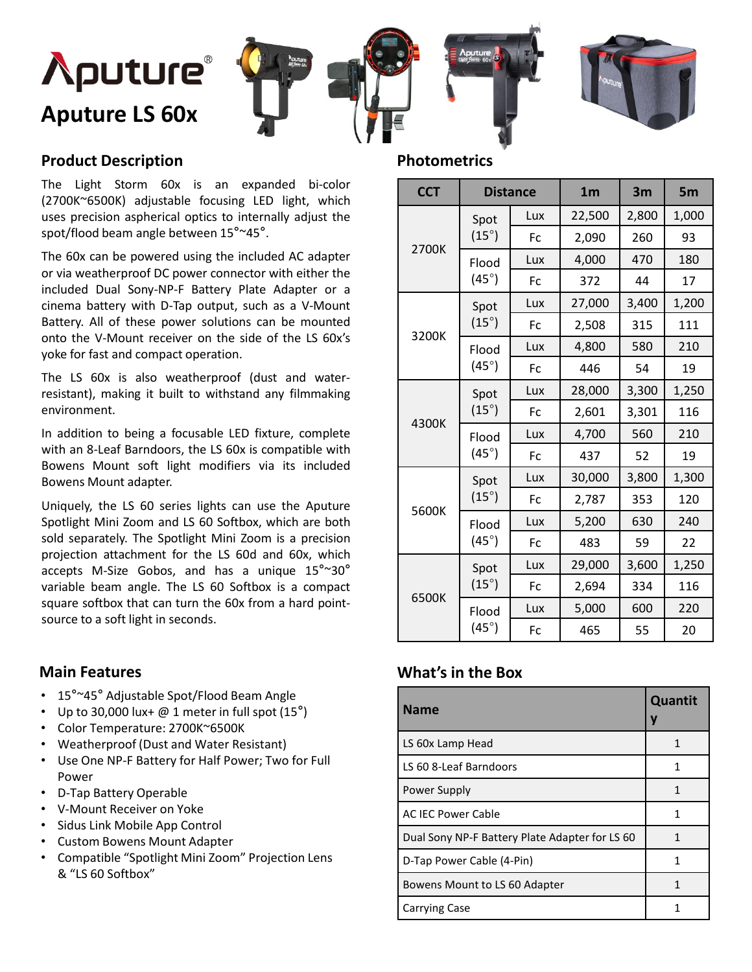



#### **Product Description**

The Light Storm 60x is an expanded bi-color (2700K~6500K) adjustable focusing LED light, which uses precision aspherical optics to internally adjust the spot/flood beam angle between 15°~45°.

The 60x can be powered using the included AC adapter or via weatherproof DC power connector with either the included Dual Sony-NP-F Battery Plate Adapter or a cinema battery with D-Tap output, such as a V-Mount Battery. All of these power solutions can be mounted onto the V-Mount receiver on the side of the LS 60x's yoke for fast and compact operation.

The LS 60x is also weatherproof (dust and waterresistant), making it built to withstand any filmmaking environment.

In addition to being a focusable LED fixture, complete with an 8-Leaf Barndoors, the LS 60x is compatible with Bowens Mount soft light modifiers via its included Bowens Mount adapter.

Uniquely, the LS 60 series lights can use the Aputure Spotlight Mini Zoom and LS 60 Softbox, which are both sold separately. The Spotlight Mini Zoom is a precision projection attachment for the LS 60d and 60x, which accepts M-Size Gobos, and has a unique 15°~30° variable beam angle. The LS 60 Softbox is a compact square softbox that can turn the 60x from a hard pointsource to a soft light in seconds.

#### **Main Features**

- 15°~45° Adjustable Spot/Flood Beam Angle
- Up to 30,000 lux+  $@1$  meter in full spot  $(15°)$
- Color Temperature: 2700K~6500K
- Weatherproof (Dust and Water Resistant)
- Use One NP-F Battery for Half Power; Two for Full Power
- D-Tap Battery Operable
- V-Mount Receiver on Yoke
- Sidus Link Mobile App Control
- Custom Bowens Mount Adapter
- Compatible "Spotlight Mini Zoom" Projection Lens & "LS 60 Softbox"

#### **Photometrics**

| <b>CCT</b> | <b>Distance</b>         |           | 1 <sub>m</sub> | 3m    | 5 <sub>m</sub> |
|------------|-------------------------|-----------|----------------|-------|----------------|
| 2700K      | Spot<br>$(15^{\circ})$  | Lux       | 22,500         | 2,800 | 1,000          |
|            |                         | <b>Fc</b> | 2,090          | 260   | 93             |
|            | Flood<br>$(45^{\circ})$ | Lux       | 4,000          | 470   | 180            |
|            |                         | Fc        | 372            | 44    | 17             |
| 3200K      | Spot<br>$(15^{\circ})$  | Lux       | 27,000         | 3,400 | 1,200          |
|            |                         | Fc        | 2,508          | 315   | 111            |
|            | Flood<br>$(45^\circ)$   | Lux       | 4,800          | 580   | 210            |
|            |                         | <b>Fc</b> | 446            | 54    | 19             |
|            | Spot<br>$(15^{\circ})$  | Lux       | 28,000         | 3,300 | 1,250          |
| 4300K      |                         | <b>Fc</b> | 2,601          | 3,301 | 116            |
|            | Flood<br>$(45^{\circ})$ | Lux       | 4,700          | 560   | 210            |
|            |                         | Fc        | 437            | 52    | 19             |
| 5600K      | Spot<br>$(15^{\circ})$  | Lux       | 30,000         | 3,800 | 1,300          |
|            |                         | Fc        | 2,787          | 353   | 120            |
|            | Flood<br>$(45^\circ)$   | Lux       | 5,200          | 630   | 240            |
|            |                         | <b>Fc</b> | 483            | 59    | 22             |
| 6500K      | Spot<br>$(15^{\circ})$  | Lux       | 29,000         | 3,600 | 1,250          |
|            |                         | <b>Fc</b> | 2,694          | 334   | 116            |
|            | Flood<br>$(45^\circ)$   | Lux       | 5,000          | 600   | 220            |
|            |                         | Fc        | 465            | 55    | 20             |

#### **What's in the Box**

| <b>Name</b>                                    | Quantit |
|------------------------------------------------|---------|
| LS 60x Lamp Head                               | 1       |
| LS 60 8-Leaf Barndoors                         |         |
| Power Supply                                   |         |
| <b>AC IEC Power Cable</b>                      |         |
| Dual Sony NP-F Battery Plate Adapter for LS 60 | 1       |
| D-Tap Power Cable (4-Pin)                      | 1       |
| Bowens Mount to LS 60 Adapter                  |         |
| <b>Carrying Case</b>                           |         |